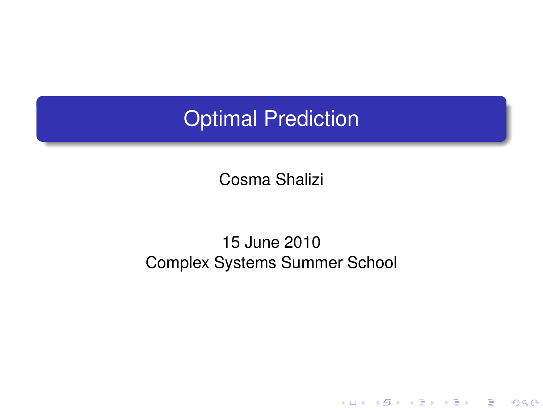### Optimal Prediction

Cosma Shalizi

#### <span id="page-0-0"></span>15 June 2010 Complex Systems Summer School

K ロ ▶ K @ ▶ K 할 ▶ K 할 ▶ ① 할 → ① 의안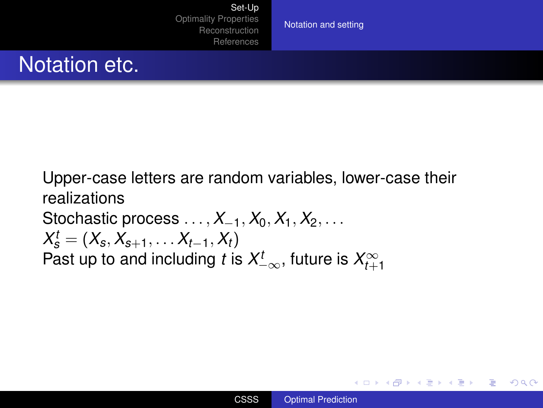[Notation and setting](#page-1-0)

### Notation etc.

Upper-case letters are random variables, lower-case their realizations Stochastic process  $\dots$ ,  $X_{-1}$ ,  $X_0$ ,  $X_1$ ,  $X_2$ ,  $\dots$  $X_s^t = (X_s, X_{s+1}, \ldots X_{t-1}, X_t)$ Past up to and including  $t$  is  $X_{-\infty}^t,$  future is  $X_{t+1}^\infty$ 

イロメ イ押 メイヨメ イヨメ

<span id="page-1-0"></span>÷.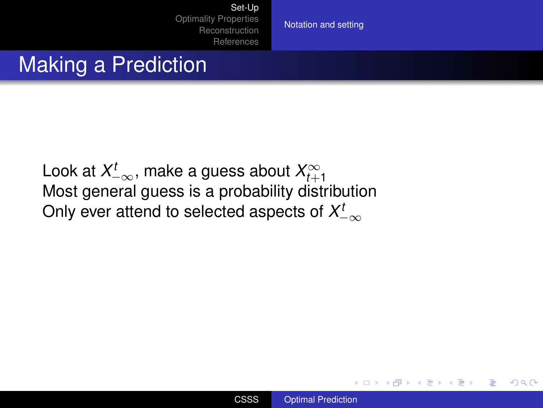[Set-Up](#page-1-0) [Optimality Properties](#page-13-0) [Reconstruction](#page-47-0)

[References](#page-60-0)

[Notation and setting](#page-1-0)

#### Making a Prediction

Look at  $X_{-\infty}^t$ , make a guess about  $X_{t+1}^\infty$ Most general guess is a probability distribution Only ever attend to selected aspects of  $\mathcal{X}_{-\infty}^t$ 



K ロ ⊁ K 個 ≯ K 君 ⊁ K 君 ⊁

ă.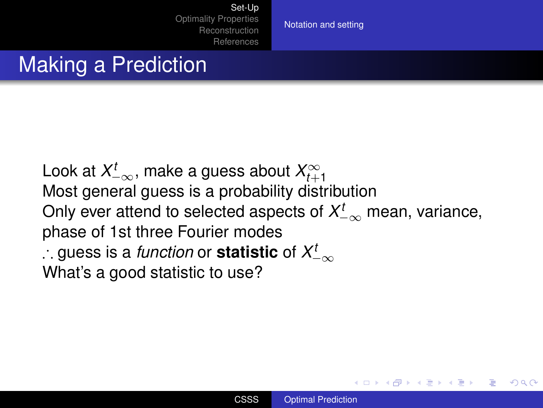[Notation and setting](#page-1-0)

### Making a Prediction

Look at  $X_{-\infty}^t$ , make a guess about  $X_{t+1}^\infty$ Most general guess is a probability distribution Only ever attend to selected aspects of  $X_{-\infty}^t$  mean, variance, phase of 1st three Fourier modes ∴ guess is a *function* or **statistic** of *X t* −∞ What's a good statistic to use?

4 ロ ) (何 ) (日 ) (日 )

 $QQ$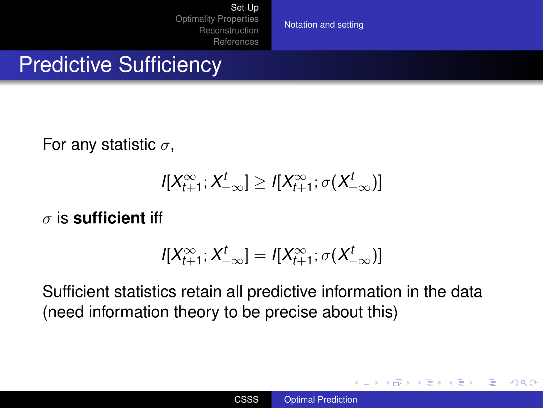[Notation and setting](#page-1-0)

#### **Predictive Sufficiency**

For any statistic  $\sigma$ ,

 $I[X_{t+1}^{\infty}; X_{-\infty}^t] \geq I[X_{t+1}^{\infty}; \sigma(X_{-\infty}^t)]$ 

σ is **sufficient** iff

$$
I[X_{t+1}^{\infty};X_{-\infty}^t]=I[X_{t+1}^{\infty};\sigma(X_{-\infty}^t)]
$$

Sufficient statistics retain all predictive information in the data (need information theory to be precise about this)

イロメ イ押 メイヨメ イヨメ

÷.  $QQ$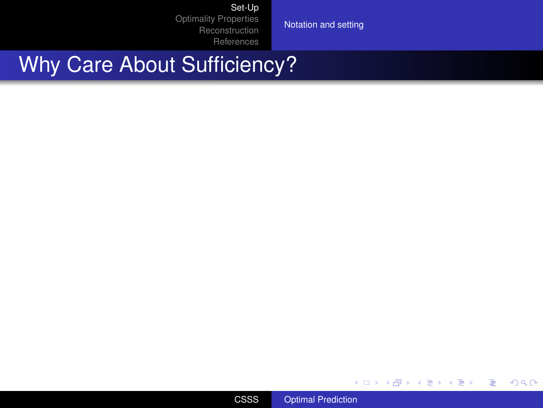[Set-Up](#page-1-0)

[Optimality Properties](#page-13-0) [Reconstruction](#page-47-0) [References](#page-60-0)

[Notation and setting](#page-1-0)

### Why Care About Sufficiency?



イロト 不優 トメ 君 トメ 君 トー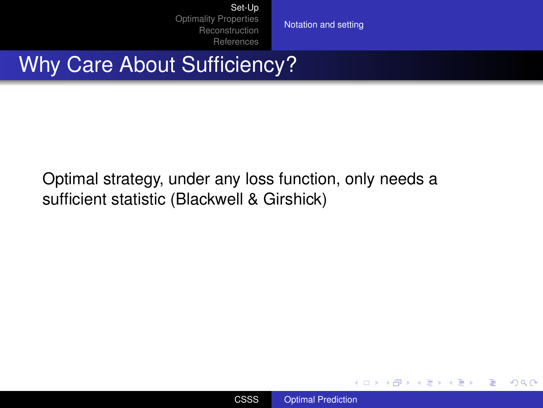[Notation and setting](#page-1-0)

## Why Care About Sufficiency?

Optimal strategy, under any loss function, only needs a sufficient statistic (Blackwell & Girshick)



イロト イ部 トイ磨 トイ磨 ト

÷.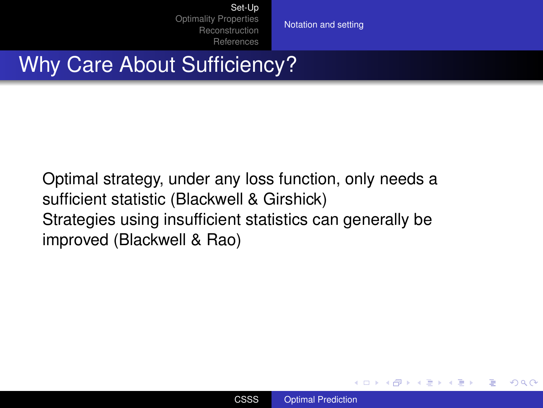[Notation and setting](#page-1-0)

## Why Care About Sufficiency?

Optimal strategy, under any loss function, only needs a sufficient statistic (Blackwell & Girshick) Strategies using insufficient statistics can generally be improved (Blackwell & Rao)



イロメ イ押 メイヨメ イヨメ

B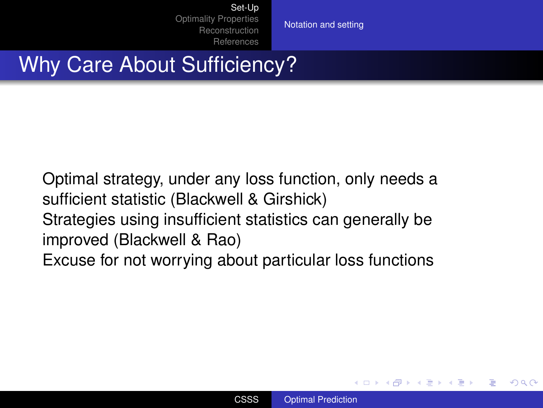[Notation and setting](#page-1-0)

### Why Care About Sufficiency?

Optimal strategy, under any loss function, only needs a sufficient statistic (Blackwell & Girshick) Strategies using insufficient statistics can generally be improved (Blackwell & Rao) Excuse for not worrying about particular loss functions

イロメ イ押 メイヨメ イヨメ

 $2Q$ 

э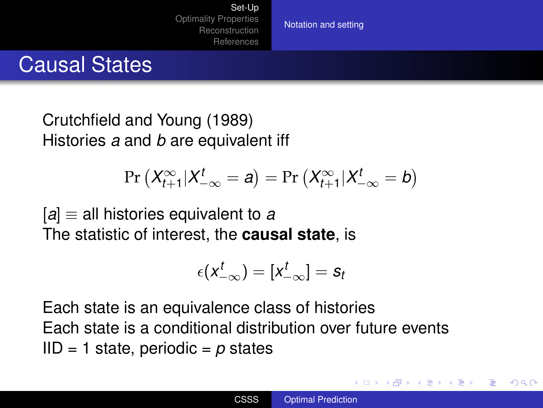[Notation and setting](#page-1-0)

#### Causal States

Crutchfield and Young (1989) Histories *a* and *b* are equivalent iff

$$
\Pr\left(X_{t+1}^{\infty}|X_{-\infty}^t=a\right)=\Pr\left(X_{t+1}^{\infty}|X_{-\infty}^t=b\right)
$$

[*a*] ≡ all histories equivalent to *a* The statistic of interest, the **causal state**, is

$$
\epsilon(\mathbf{x}_{-\infty}^t)=[\mathbf{x}_{-\infty}^t]=\mathbf{s}_t
$$

Each state is an equivalence class of histories Each state is a conditional distribution over future events IID = 1 state, periodic = *p* states

**K ロ ト K 伊 ト K ヨ ト K**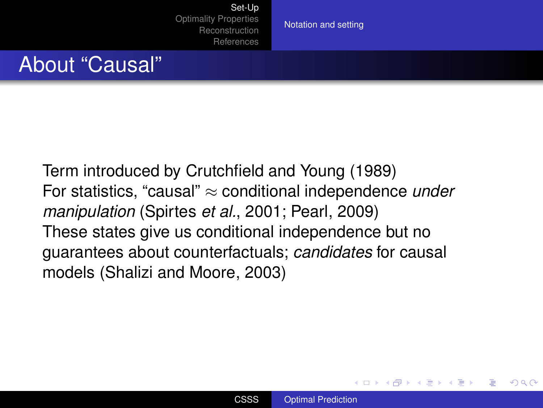[Notation and setting](#page-1-0)

#### About "Causal"

Term introduced by Crutchfield and Young (1989) For statistics, "causal" ≈ conditional independence *under manipulation* (Spirtes *et al.*, 2001; Pearl, 2009) These states give us conditional independence but no guarantees about counterfactuals; *candidates* for causal models (Shalizi and Moore, 2003)

 $2Q$ 

э

∢ ロ ▶ ∢ 何 ▶ ∢ 后 ▶ ∢ 后 ▶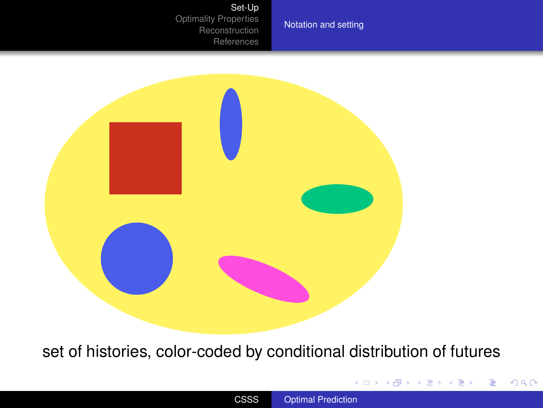#### [Set-Up](#page-1-0)

[Optimality Properties](#page-13-0) [Reconstruction](#page-47-0) [References](#page-60-0)

[Notation and setting](#page-1-0)



set of histories, color-coded by conditional distribution of futures

イロメイ部メイ君メイ君メー

重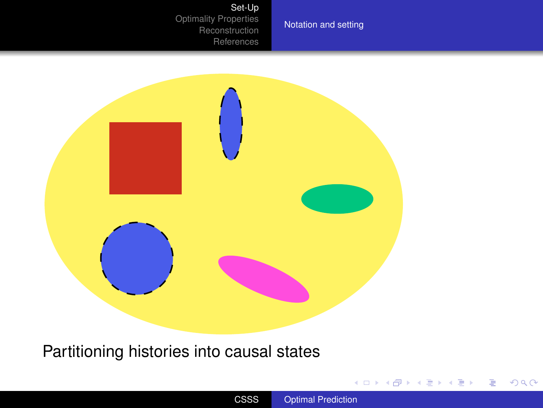#### [Set-Up](#page-1-0)

[Optimality Properties](#page-13-0) [Reconstruction](#page-47-0) [References](#page-60-0)

[Notation and setting](#page-1-0)



#### Partitioning histories into causal states

イロトメ 御 トメ 君 トメ 君 トー 君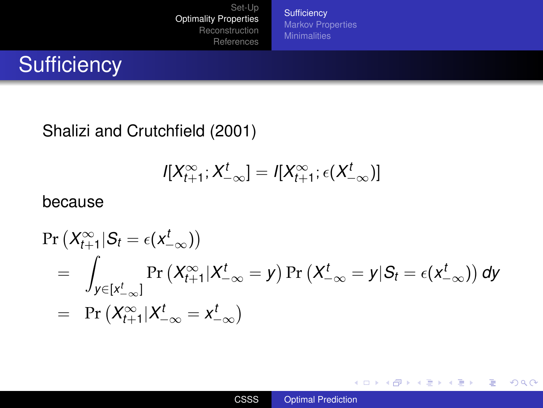**[Sufficiency](#page-13-0)** [Markov Properties](#page-16-0) **[Minimalities](#page-21-0)** 

# **Sufficiency**

Shalizi and Crutchfield (2001)

$$
I[X_{t+1}^{\infty};X_{-\infty}^t]=I[X_{t+1}^{\infty};\epsilon(X_{-\infty}^t)]
$$

#### because

$$
\Pr(X_{t+1}^{\infty} | S_t = \epsilon(x_{-\infty}^t))
$$
\n
$$
= \int_{y \in [x_{-\infty}^t]} \Pr(X_{t+1}^{\infty} | X_{-\infty}^t = y) \Pr(X_{-\infty}^t = y | S_t = \epsilon(x_{-\infty}^t)) \, dy
$$
\n
$$
= \Pr(X_{t+1}^{\infty} | X_{-\infty}^t = x_{-\infty}^t)
$$

イロメ 不優 おす 重 おす 悪 おし

<span id="page-13-0"></span>ă.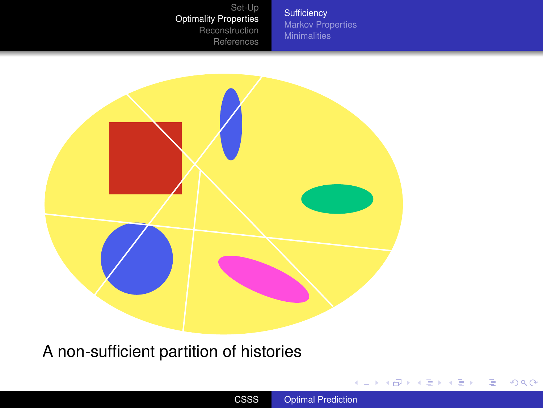**[Sufficiency](#page-13-0)** [Markov Properties](#page-16-0) **[Minimalities](#page-21-0)** 



A non-sufficient partition of histories

イロトメ 御 トメ 君 トメ 君 トー 君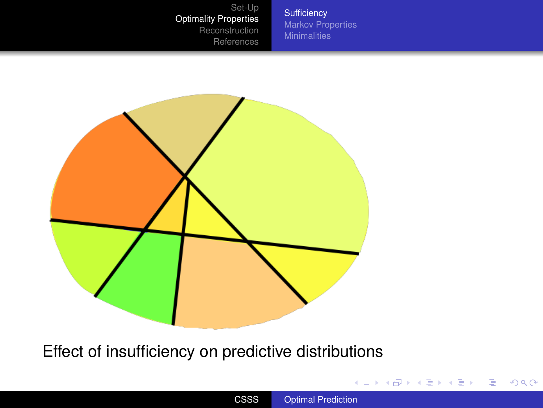**[Sufficiency](#page-13-0)** [Markov Properties](#page-16-0) **[Minimalities](#page-21-0)** 



Effect of insufficiency on predictive distributions

イロト 不優 トイ君 トイ君 トー君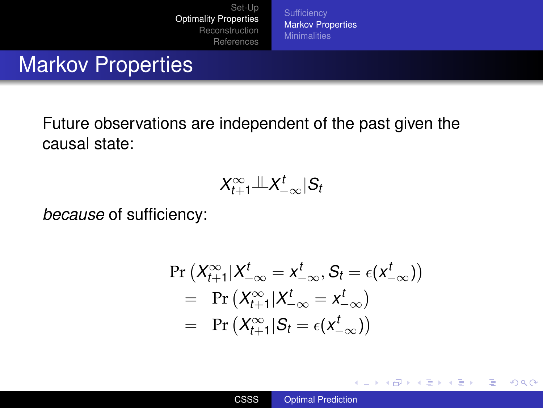[Markov Properties](#page-16-0)

### Markov Properties

Future observations are independent of the past given the causal state:

$$
X_{t+1}^{\infty}{\perp\!\!\!\perp} X_{-\infty}^t|S_t
$$

*because* of sufficiency:

$$
\Pr\left(X_{t+1}^{\infty}|X_{-\infty}^t = x_{-\infty}^t,S_t = \epsilon(x_{-\infty}^t)\right)\\ = \Pr\left(X_{t+1}^{\infty}|X_{-\infty}^t = x_{-\infty}^t\right)\\ = \Pr\left(X_{t+1}^{\infty}|S_t = \epsilon(x_{-\infty}^t)\right)
$$

メロトメ 御 トメ 君 トメ 君 トッ

<span id="page-16-0"></span>÷.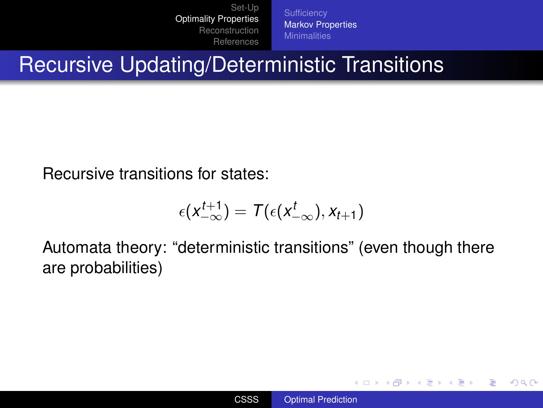**[Sufficiency](#page-13-0)** [Markov Properties](#page-16-0)

Recursive Updating/Deterministic Transitions

Recursive transitions for states:

$$
\epsilon(\mathsf{X}_{-\infty}^{t+1}) = \mathsf{T}(\epsilon(\mathsf{X}_{-\infty}^{t}),\mathsf{X}_{t+1})
$$

Automata theory: "deterministic transitions" (even though there are probabilities)

イロト イ押 トイヨ トイヨ トー

÷.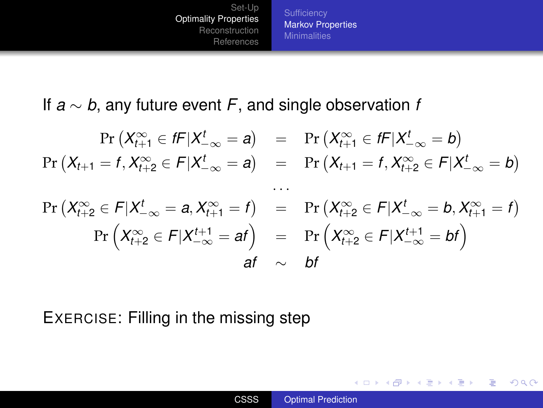[Markov Properties](#page-16-0) **[Minimalities](#page-21-0)** 

If *a* ∼ *b*, any future event *F*, and single observation *f*

$$
\Pr(X_{t+1}^{\infty} \in fF | X_{t-\infty}^t = a) = \Pr(X_{t+1}^{\infty} \in fF | X_{t-\infty}^t = b)
$$
\n
$$
\Pr(X_{t+1} = f, X_{t+2}^{\infty} \in F | X_{t-\infty}^t = a) = \Pr(X_{t+1} = f, X_{t+2}^{\infty} \in F | X_{t-\infty}^t = b)
$$
\n...\n
$$
\Pr(X_{t+2}^{\infty} \in F | X_{t-\infty}^t = a, X_{t+1}^{\infty} = f) = \Pr(X_{t+2}^{\infty} \in F | X_{t-\infty}^t = b, X_{t+1}^{\infty} = f)
$$
\n
$$
\Pr(X_{t+2}^{\infty} \in F | X_{t-\infty}^{t+1} = a f) = \Pr(X_{t+2}^{\infty} \in F | X_{t-\infty}^{t+1} = b f)
$$
\n
$$
a f \sim b f
$$

EXERCISE: Filling in the missing step

イロト イ押 トイヨ トイヨ トー

 $\equiv$   $\Omega Q$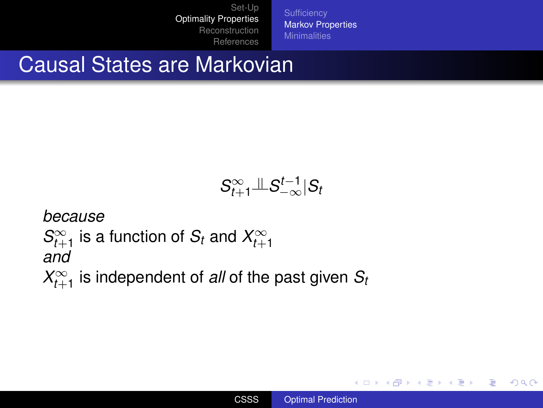[Markov Properties](#page-16-0) **[Minimalities](#page-21-0)** 

### Causal States are Markovian

$$
S^\infty_{t+1} \mathcal{L} S^{t-1}_{-\infty} | S_t
$$

*because*

$$
S_{t+1}^{\infty}
$$
 is a function of  $S_t$  and  $X_{t+1}^{\infty}$  and

 $X_{t+1}^{\infty}$  is independent of *all* of the past given  $S_t$ 

イロト イ押 トイヨ トイヨ トー

重し  $2990$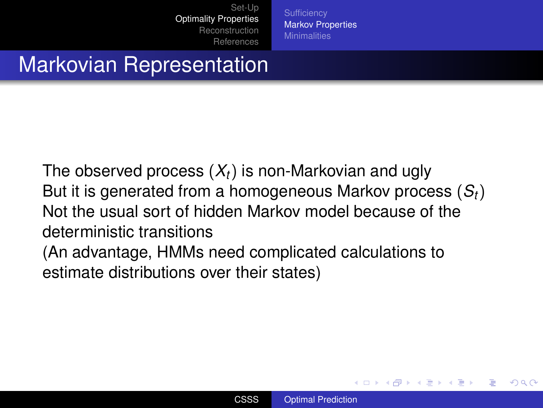**[Sufficiency](#page-13-0)** [Markov Properties](#page-16-0)

# Markovian Representation

The observed process (*Xt*) is non-Markovian and ugly But it is generated from a homogeneous Markov process (*St*) Not the usual sort of hidden Markov model because of the deterministic transitions (An advantage, HMMs need complicated calculations to

estimate distributions over their states)

**K ロ ト K 伊 ト K ヨ ト K**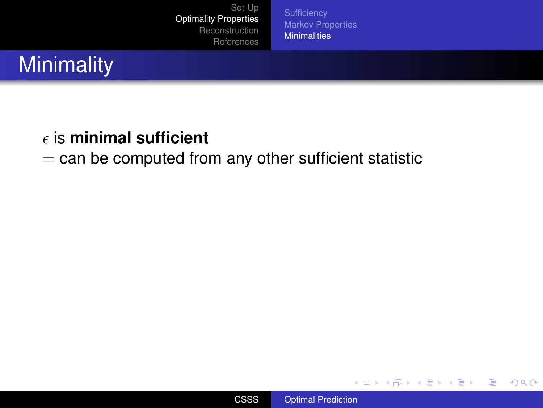[Markov Properties](#page-16-0) **[Minimalities](#page-23-0)** 

# **Minimality**

#### is **minimal sufficient**

#### $=$  can be computed from any other sufficient statistic



**K ロ ト K 何 ト K ヨ ト K ヨ ト** 

<span id="page-21-0"></span>÷.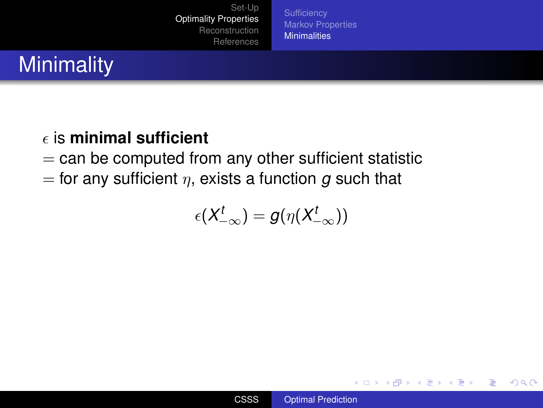**[Sufficiency](#page-13-0)** [Markov Properties](#page-16-0) **[Minimalities](#page-23-0)** 

# **Minimality**

#### is **minimal sufficient**

- $=$  can be computed from any other sufficient statistic
- $=$  for any sufficient  $\eta$ , exists a function  $g$  such that

$$
\epsilon(X_{-\infty}^t)=g(\eta(X_{-\infty}^t))
$$

イロメ イ押 メイヨメ イヨメ

÷.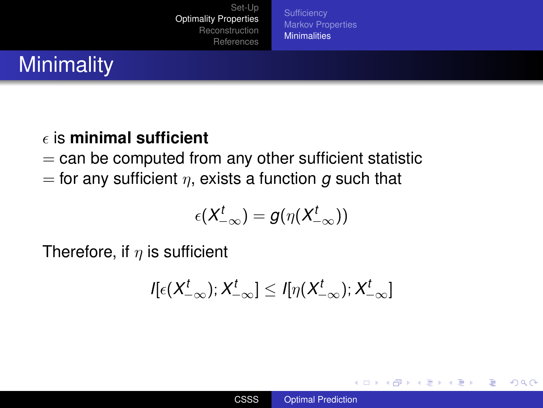**[Sufficiency](#page-13-0)** [Markov Properties](#page-16-0) **[Minimalities](#page-21-0)** 

# **Minimality**

#### is **minimal sufficient**

- $=$  can be computed from any other sufficient statistic
- $=$  for any sufficient  $\eta$ , exists a function g such that

$$
\epsilon(X_{-\infty}^t)=g(\eta(X_{-\infty}^t))
$$

Therefore, if  $\eta$  is sufficient

$$
I[\epsilon(X_{-\infty}^t); X_{-\infty}^t] \leq I[\eta(X_{-\infty}^t); X_{-\infty}^t]
$$

K ロ ⊁ K 何 ≯ K ヨ ⊁ K ヨ ⊁

<span id="page-23-0"></span>B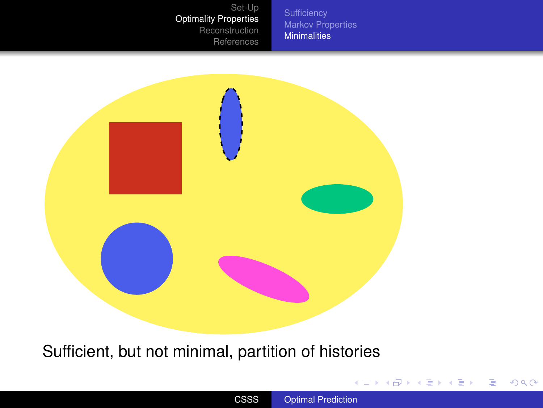[Markov Properties](#page-16-0) [Minimalities](#page-21-0)



Sufficient, but not minimal, partition of histories

イロメ 不優 メイ君 メイ君 メー

重し  $299$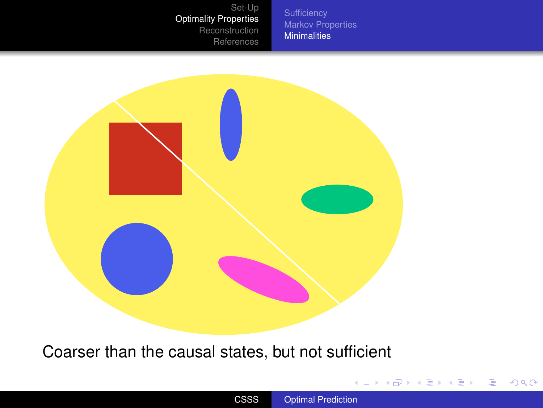[Markov Properties](#page-16-0) **[Minimalities](#page-21-0)** 



Coarser than the causal states, but not sufficient

イロトメ 御 トメ 君 トメ 君 トー 君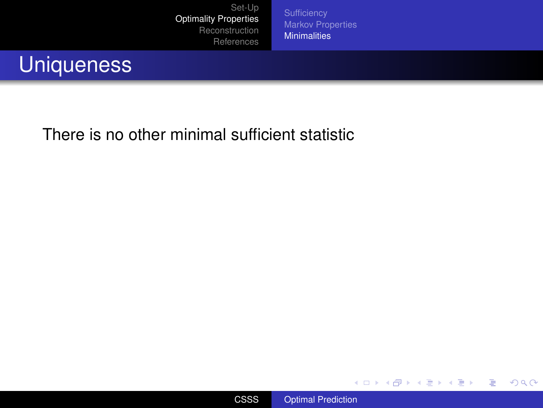[Markov Properties](#page-16-0) **[Minimalities](#page-21-0)** 

### **Uniqueness**

There is no other minimal sufficient statistic



メロトメ 御 トメ 君 トメ 君 トッ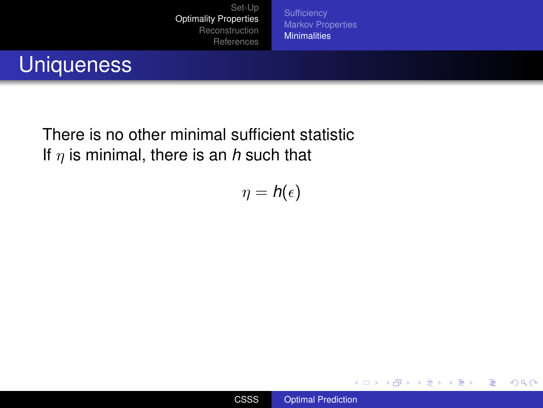**[Sufficiency](#page-13-0) [Markov Properties](#page-16-0) [Minimalities](#page-21-0)** 

# **Uniqueness**

There is no other minimal sufficient statistic If  $\eta$  is minimal, there is an *h* such that

 $\eta = h(\epsilon)$ 



**K ロ ト K 何 ト K ヨ ト K ヨ ト** 

÷.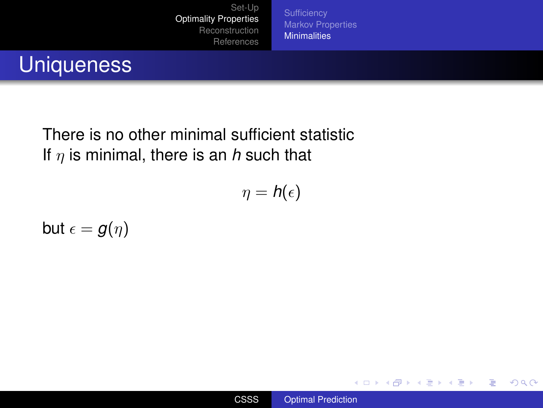**[Sufficiency](#page-13-0) [Markov Properties](#page-16-0) [Minimalities](#page-21-0)** 

# **Uniqueness**

There is no other minimal sufficient statistic If  $\eta$  is minimal, there is an *h* such that

$$
\eta = \textit{h}(\epsilon)
$$

but  $\epsilon = g(\eta)$ 



**K ロ ト K 何 ト K ヨ ト K ヨ ト** 

÷.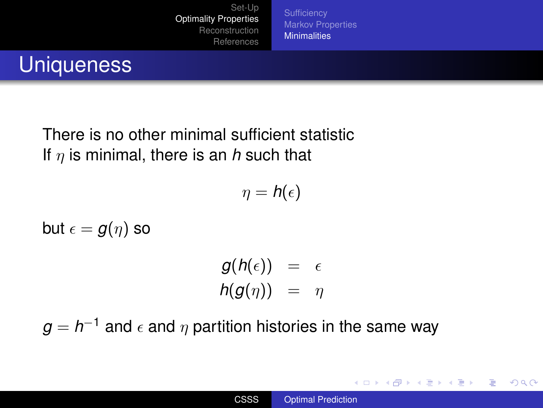[Markov Properties](#page-16-0) **[Minimalities](#page-21-0)** 

# **Uniqueness**

There is no other minimal sufficient statistic If η is minimal, there is an *h* such that

$$
\eta = \mathit{h}(\epsilon)
$$

but  $\epsilon = g(\eta)$  so

$$
g(h(\epsilon)) = \epsilon
$$
  

$$
h(g(\eta)) = \eta
$$

 $g=h^{-1}$  and  $\epsilon$  and  $\eta$  partition histories in the same way

**K ロ ト K 何 ト K ヨ ト K ヨ ト** 

÷.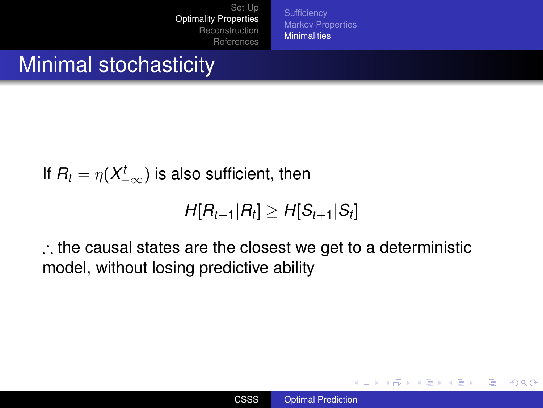[Markov Properties](#page-16-0) **[Minimalities](#page-21-0)** 

## Minimal stochasticity

If 
$$
R_t = \eta(X_{-\infty}^t)
$$
 is also sufficient, then

$$
H[R_{t+1}|R_t] \geq H[S_{t+1}|S_t]
$$

∴ the causal states are the closest we get to a deterministic model, without losing predictive ability

イロメ イ押 メイヨメ イヨメ

÷.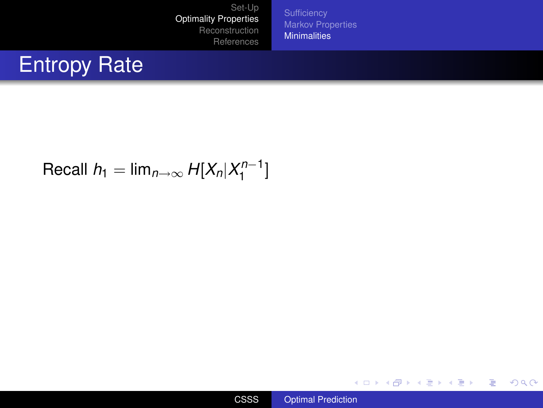[Markov Properties](#page-16-0) **[Minimalities](#page-21-0)** 

# Entropy Rate

#### $Recall h_1 = \lim_{n \to \infty} H[X_n | X_1^{n-1}]$  $\binom{n-1}{1}$



メロトメ 御 トメ 君 トメ 君 トッ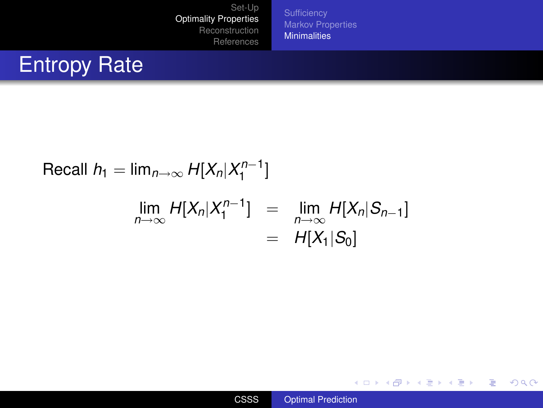[Markov Properties](#page-16-0) **[Minimalities](#page-21-0)** 

# Entropy Rate

Recall 
$$
h_1 = \lim_{n \to \infty} H[X_n | X_1^{n-1}]
$$

$$
\lim_{n\to\infty} H[X_n|X_1^{n-1}] = \lim_{n\to\infty} H[X_n|S_{n-1}]
$$
  
=  $H[X_1|S_0]$ 



メロトメ 御 トメ 君 トメ 君 トッ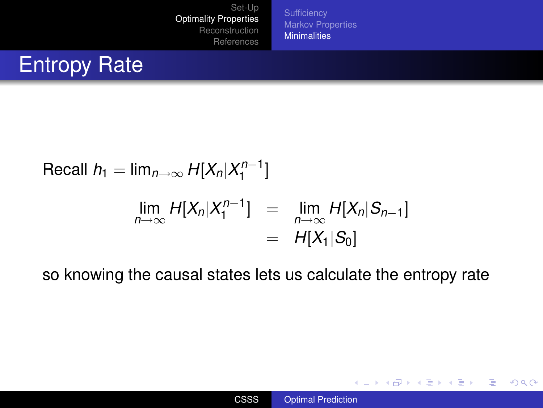[Markov Properties](#page-16-0) **[Minimalities](#page-21-0)** 

# Entropy Rate

Recall 
$$
h_1 = \lim_{n \to \infty} H[X_n | X_1^{n-1}]
$$
  
\n
$$
\lim_{n \to \infty} H[X_n | X_1^{n-1}] = \lim_{n \to \infty} H[X_n | S_{n-1}]
$$
\n
$$
= H[X_1 | S_0]
$$

so knowing the causal states lets us calculate the entropy rate

イロト 不優 トメ 君 トメ 君 トー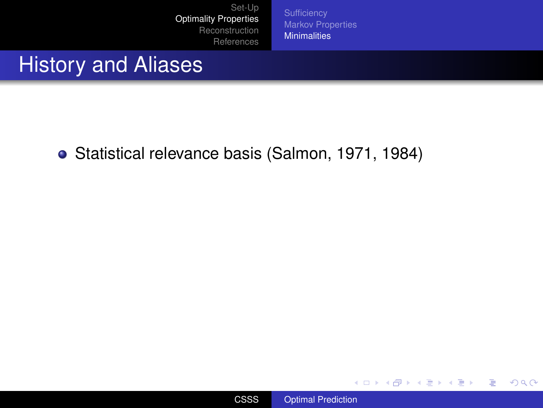[Markov Properties](#page-16-0) **[Minimalities](#page-21-0)** 

### History and Aliases

Statistical relevance basis (Salmon, 1971, 1984)



イロメ 不優 トメ ヨ メ ス ヨ メー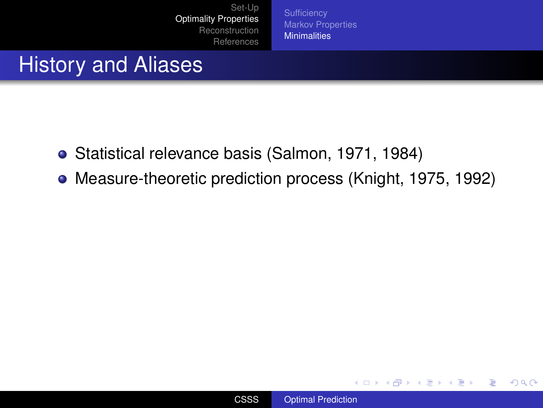[Markov Properties](#page-16-0) **[Minimalities](#page-21-0)** 

### History and Aliases

- Statistical relevance basis (Salmon, 1971, 1984)
- Measure-theoretic prediction process (Knight, 1975, 1992)



イロメ イ押 メイヨメ イヨメ

÷.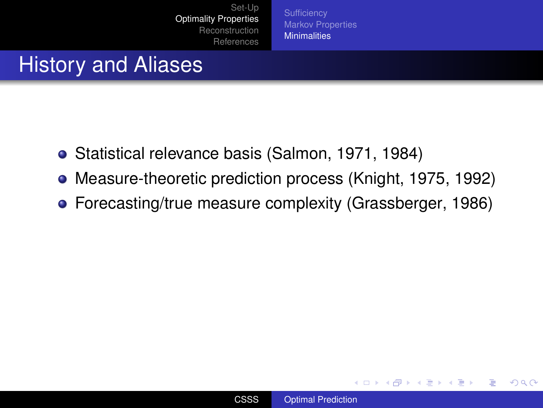**[Sufficiency](#page-13-0)** [Markov Properties](#page-16-0) **[Minimalities](#page-21-0)** 

### History and Aliases

- Statistical relevance basis (Salmon, 1971, 1984)
- Measure-theoretic prediction process (Knight, 1975, 1992)
- Forecasting/true measure complexity (Grassberger, 1986)

イロメ イ押 メイヨメ イヨメ

B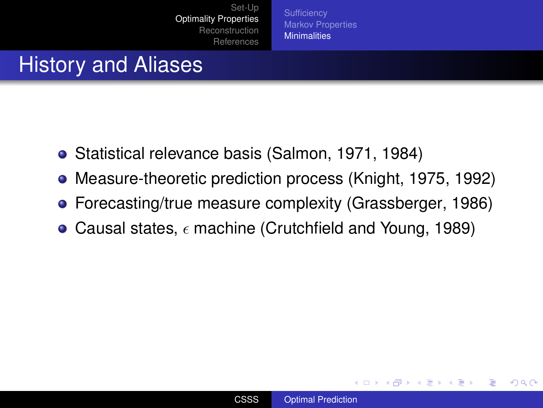**[Sufficiency](#page-13-0)** [Markov Properties](#page-16-0) **[Minimalities](#page-21-0)** 

## History and Aliases

- Statistical relevance basis (Salmon, 1971, 1984)
- Measure-theoretic prediction process (Knight, 1975, 1992)
- Forecasting/true measure complexity (Grassberger, 1986)
- Causal states,  $\epsilon$  machine (Crutchfield and Young, 1989)

**K ロ ト K 伊 ト K ヨ ト** 

ă.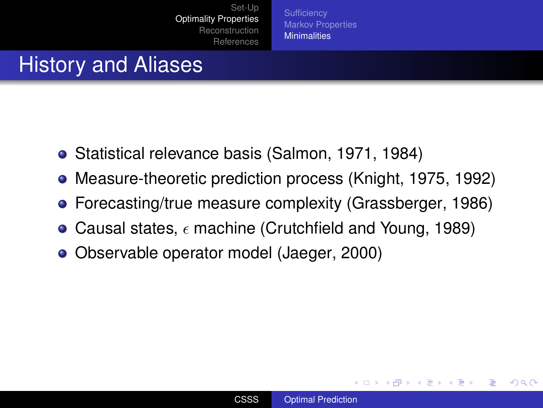**[Sufficiency](#page-13-0)** [Markov Properties](#page-16-0) **[Minimalities](#page-21-0)** 

# History and Aliases

- Statistical relevance basis (Salmon, 1971, 1984)
- Measure-theoretic prediction process (Knight, 1975, 1992)
- Forecasting/true measure complexity (Grassberger, 1986)
- Causal states,  $\epsilon$  machine (Crutchfield and Young, 1989)
- Observable operator model (Jaeger, 2000)

**K ロ ト K 伊 ト K ヨ ト** 

ă.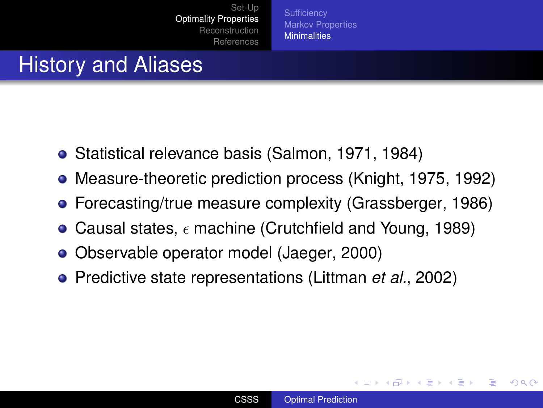**[Sufficiency](#page-13-0)** [Markov Properties](#page-16-0) **[Minimalities](#page-21-0)** 

# History and Aliases

- Statistical relevance basis (Salmon, 1971, 1984)
- Measure-theoretic prediction process (Knight, 1975, 1992)
- Forecasting/true measure complexity (Grassberger, 1986)
- Causal states,  $\epsilon$  machine (Crutchfield and Young, 1989)
- Observable operator model (Jaeger, 2000)
- Predictive state representations (Littman *et al.*, 2002)

**K ロ ⊁ K 伊 ⊁ K ミ**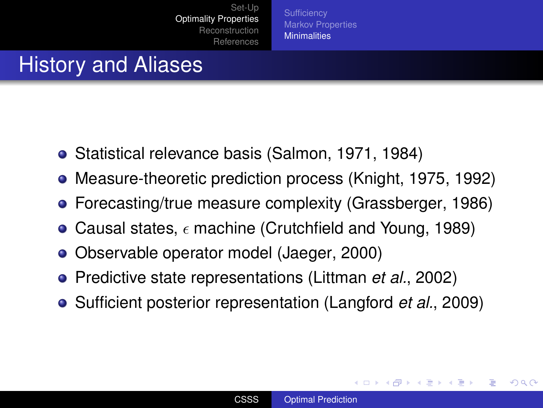**[Sufficiency](#page-13-0)** [Markov Properties](#page-16-0) **[Minimalities](#page-21-0)** 

# History and Aliases

- Statistical relevance basis (Salmon, 1971, 1984)
- Measure-theoretic prediction process (Knight, 1975, 1992)
- Forecasting/true measure complexity (Grassberger, 1986)
- Causal states,  $\epsilon$  machine (Crutchfield and Young, 1989)
- Observable operator model (Jaeger, 2000)
- Predictive state representations (Littman *et al.*, 2002)
- Sufficient posterior representation (Langford *et al.*, 2009)

**∢ ロ ▶ . ∢ 母 ▶ . ∢ ヨ**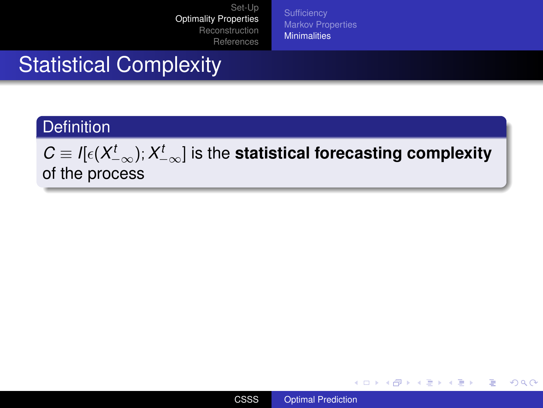[Markov Properties](#page-16-0) **[Minimalities](#page-21-0)** 

# Statistical Complexity

#### **Definition**

 $\mathcal{C}\equiv\mathit{I}[\epsilon(\mathsf{X}_{-\infty}^{t});\mathsf{X}_{-\infty}^{t}]$  is the **statistical forecasting complexity** of the process



イロト イ押 トイヨ トイヨ トー

重。  $2Q$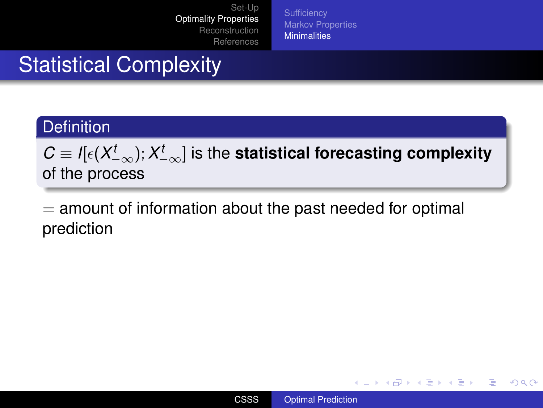**[Sufficiency](#page-13-0)** [Markov Properties](#page-16-0) **[Minimalities](#page-21-0)** 

# Statistical Complexity

#### **Definition**

 $\mathcal{C}\equiv\mathit{I}[\epsilon(\mathsf{X}_{-\infty}^{t});\mathsf{X}_{-\infty}^{t}]$  is the **statistical forecasting complexity** of the process

 $=$  amount of information about the past needed for optimal prediction

イロト イ押 トイヨ トイヨ トー

÷.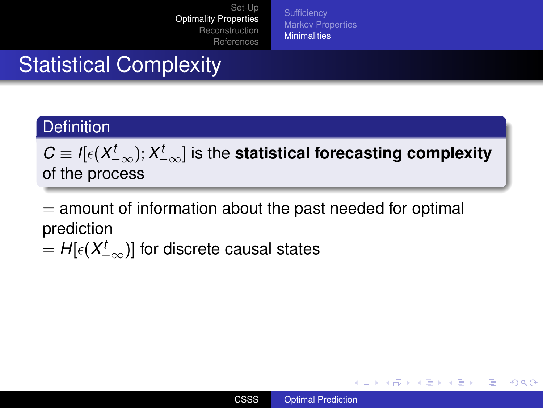**[Sufficiency](#page-13-0)** [Markov Properties](#page-16-0) **[Minimalities](#page-21-0)** 

# Statistical Complexity

#### **Definition**

 $\mathcal{C}\equiv\mathit{I}[\epsilon(\mathsf{X}_{-\infty}^{t});\mathsf{X}_{-\infty}^{t}]$  is the **statistical forecasting complexity** of the process

 $=$  amount of information about the past needed for optimal prediction

 $= H[\epsilon(X_{-\infty}^t)]$  for discrete causal states

**K ロ ▶ K 何 ▶ K ヨ ▶ K ヨ ▶** 

**B**  $QQ$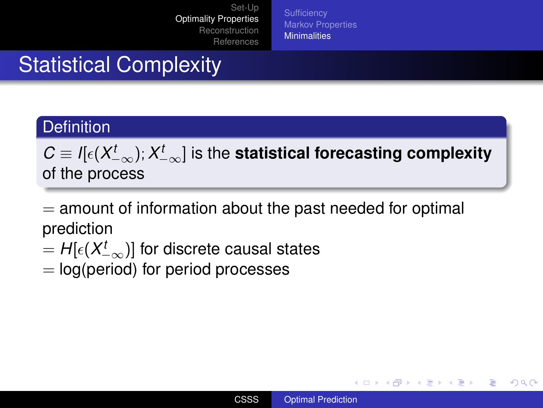**[Sufficiency](#page-13-0)** [Markov Properties](#page-16-0) **[Minimalities](#page-21-0)** 

# Statistical Complexity

#### **Definition**

 $\mathcal{C}\equiv\mathit{I}[\epsilon(\mathsf{X}_{-\infty}^{t});\mathsf{X}_{-\infty}^{t}]$  is the **statistical forecasting complexity** of the process

 $=$  amount of information about the past needed for optimal prediction

- $= H[\epsilon(X_{-\infty}^t)]$  for discrete causal states
- $=$  log(period) for period processes

イロト イ押 トイヨ トイヨ トー

÷.  $QQ$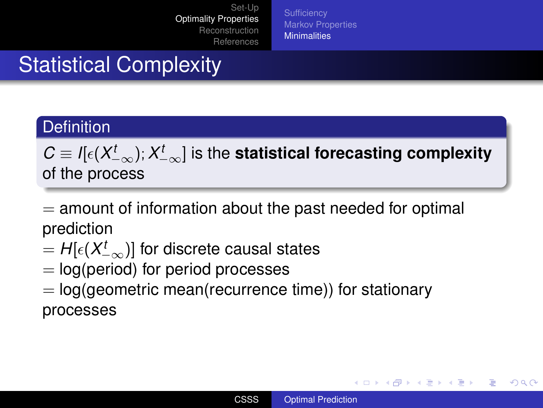**[Sufficiency](#page-13-0)** [Markov Properties](#page-16-0) **[Minimalities](#page-21-0)** 

# Statistical Complexity

#### **Definition**

 $\mathcal{C}\equiv\mathit{I}[\epsilon(\mathsf{X}_{-\infty}^{t});\mathsf{X}_{-\infty}^{t}]$  is the **statistical forecasting complexity** of the process

 $=$  amount of information about the past needed for optimal prediction

- $= H[\epsilon(X_{-\infty}^t)]$  for discrete causal states
- $=$  log(period) for period processes
- $=$  log(geometric mean(recurrence time)) for stationary processes

**K ロ ▶ K 何 ▶ K ヨ ▶ K ヨ ▶** 

÷.  $QQ$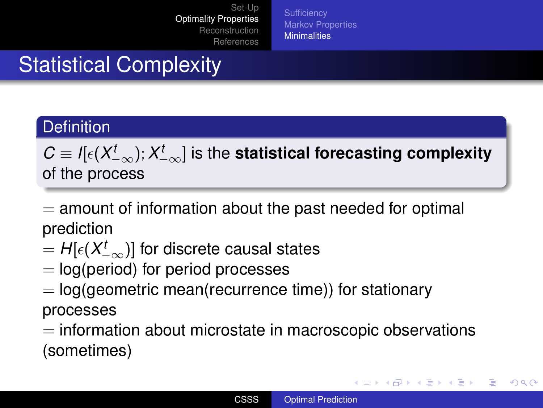**[Sufficiency](#page-13-0)** [Markov Properties](#page-16-0) **[Minimalities](#page-21-0)** 

# Statistical Complexity

#### **Definition**

 $\mathcal{C}\equiv\mathit{I}[\epsilon(\mathsf{X}_{-\infty}^{t});\mathsf{X}_{-\infty}^{t}]$  is the **statistical forecasting complexity** of the process

 $=$  amount of information about the past needed for optimal prediction

- $= H[\epsilon(X_{-\infty}^t)]$  for discrete causal states
- $=$  log(period) for period processes
- $=$  log(geometric mean(recurrence time)) for stationary processes

 $=$  information about microstate in macroscopic observations (sometimes)

イロト イ伊 トイヨ トイヨ トー

G.

<span id="page-46-0"></span> $QQ$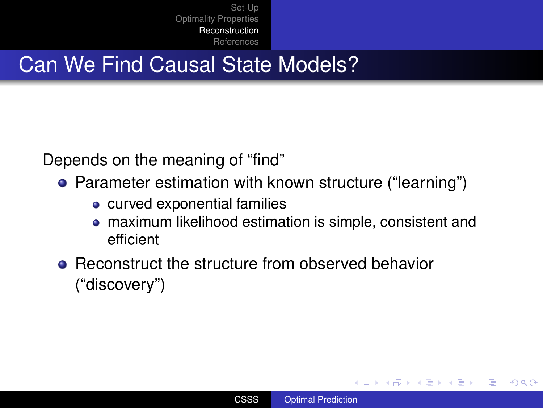## Can We Find Causal State Models?

Depends on the meaning of "find"

- Parameter estimation with known structure ("learning")
	- curved exponential families
	- maximum likelihood estimation is simple, consistent and  $\bullet$ efficient
- Reconstruct the structure from observed behavior ("discovery")

イロメ イ押 メイヨメ イヨメ

<span id="page-47-0"></span>÷.  $QQ$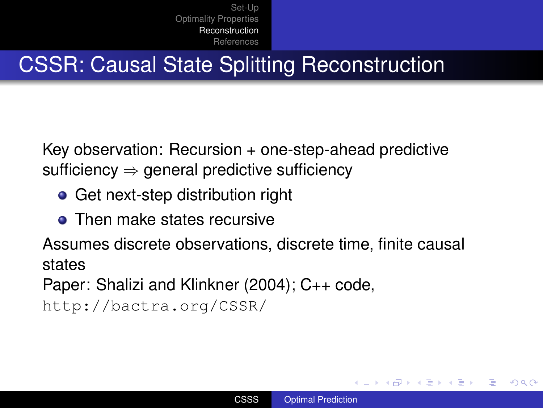# CSSR: Causal State Splitting Reconstruction

Key observation: Recursion + one-step-ahead predictive sufficiency  $\Rightarrow$  general predictive sufficiency

- Get next-step distribution right
- **o** Then make states recursive

Assumes discrete observations, discrete time, finite causal states

Paper: Shalizi and Klinkner (2004); C++ code,

```
http://bactra.org/CSSR/
```
イロメ イ押 メイヨメ イヨメ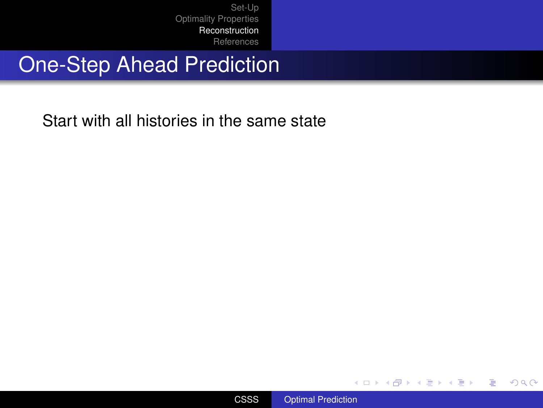# One-Step Ahead Prediction

Start with all histories in the same state



メロメメ 御きメモ メモ おく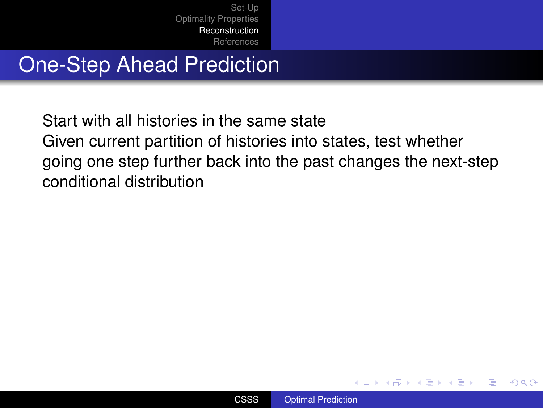# One-Step Ahead Prediction

Start with all histories in the same state Given current partition of histories into states, test whether going one step further back into the past changes the next-step conditional distribution



イロメ イ押 メイヨメ イヨメ

B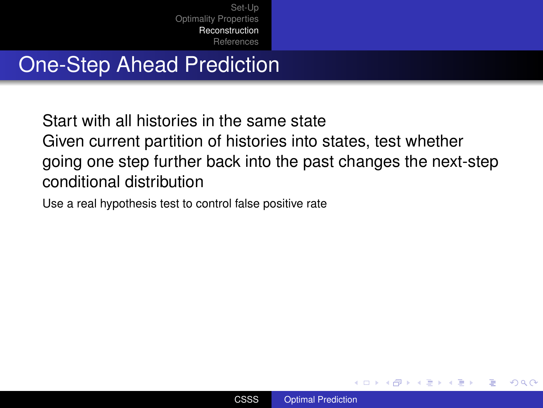# One-Step Ahead Prediction

Start with all histories in the same state Given current partition of histories into states, test whether going one step further back into the past changes the next-step conditional distribution

Use a real hypothesis test to control false positive rate



イロメ イ押 メイヨメ イヨメ

 $2Q$ 

э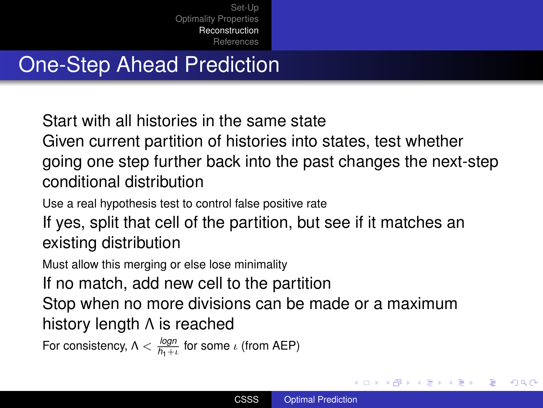# One-Step Ahead Prediction

Start with all histories in the same state

Given current partition of histories into states, test whether going one step further back into the past changes the next-step conditional distribution

Use a real hypothesis test to control false positive rate

If yes, split that cell of the partition, but see if it matches an existing distribution

Must allow this merging or else lose minimality

If no match, add new cell to the partition

Stop when no more divisions can be made or a maximum history length Λ is reached

For consistency,  $\Lambda < \frac{log n}{h_1+\iota}$  for some  $\iota$  (from AEP)

 $\left\{ \begin{array}{ccc} 1 & 0 & 0 \\ 0 & 1 & 0 \end{array} \right.$ 

B

 $QQ$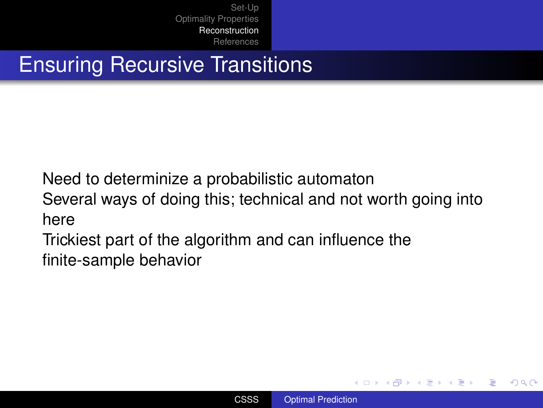# Ensuring Recursive Transitions

Need to determinize a probabilistic automaton

Several ways of doing this; technical and not worth going into here

Trickiest part of the algorithm and can influence the finite-sample behavior

イロメ イ押 メイヨメ イヨメ

B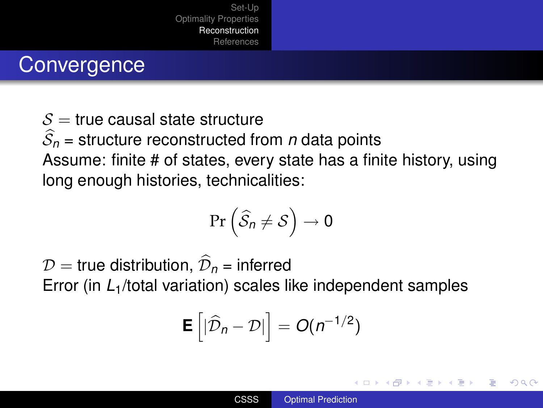### **Convergence**

 $S =$  true causal state structure  $\widehat{S}_n$  = structure reconstructed from *n* data points Assume: finite # of states, every state has a finite history, using long enough histories, technicalities:

$$
\Pr\left(\widehat{\mathcal{S}}_n \neq \mathcal{S}\right) \to 0
$$

 $D$  = true distribution,  $\widehat{\mathcal{D}}_n$  = inferred Error (in *L*1/total variation) scales like independent samples

$$
\mathbf{E}\left[|\widehat{\mathcal{D}}_n-\mathcal{D}|\right]=O(n^{-1/2})
$$

**K ロ ト K 伊 ト K ヨ ト**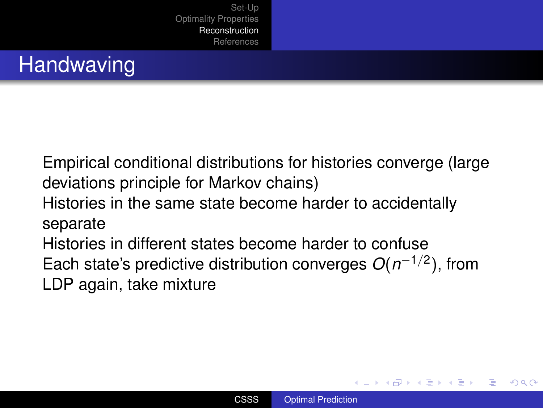# **Handwaving**

Empirical conditional distributions for histories converge (large deviations principle for Markov chains) Histories in the same state become harder to accidentally separate Histories in different states become harder to confuse Each state's predictive distribution converges *O*(*n* −1/2 ), from LDP again, take mixture

**K ロ ⊁ K 何 ⊁ K ヨ ⊁**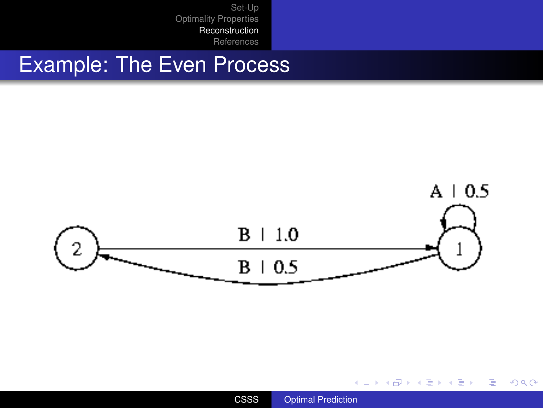#### Example: The Even Process



メロトメ 御 トメ 差 トメ 差 トー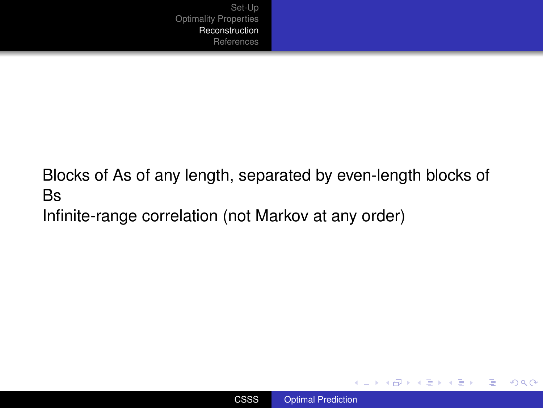Blocks of As of any length, separated by even-length blocks of Bs

Infinite-range correlation (not Markov at any order)



イロト イ団ト イヨト イヨト

 $\equiv$   $\Omega Q$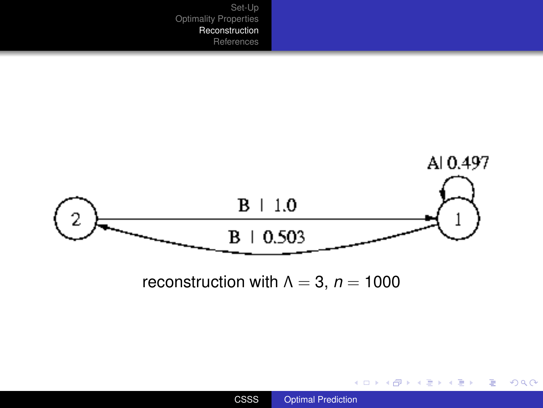

メロメメ 御 メメ 君 メメ 君 メー

<span id="page-58-0"></span>ミー  $2990$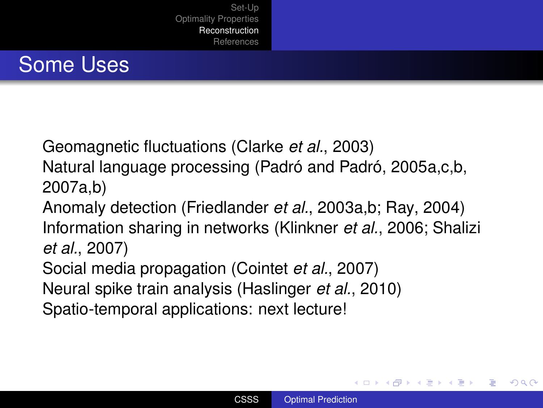# Some Uses

Geomagnetic fluctuations (Clarke *et al.*, 2003)

Natural language processing (Padró and Padró, 2005a,c,b, 2007a,b)

Anomaly detection (Friedlander *et al.*, 2003a,b; Ray, 2004) Information sharing in networks (Klinkner *et al.*, 2006; Shalizi *et al.*, 2007)

Social media propagation (Cointet *et al.*, 2007)

Neural spike train analysis (Haslinger *et al.*, 2010)

Spatio-temporal applications: next lecture!

イロメ イ押 メイヨメ イヨメ

 $2Q$ 

<span id="page-59-0"></span>э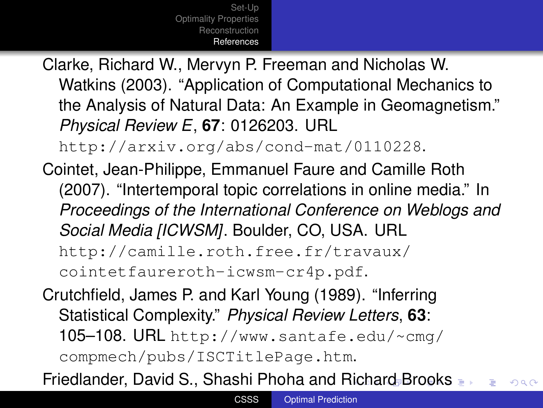Clarke, Richard W., Mervyn P. Freeman and Nicholas W. Watkins (2003). "Application of Computational Mechanics to the Analysis of Natural Data: An Example in Geomagnetism." *Physical Review E*, **67**: 0126203. URL

<http://arxiv.org/abs/cond-mat/0110228>.

Cointet, Jean-Philippe, Emmanuel Faure and Camille Roth (2007). "Intertemporal topic correlations in online media." In *Proceedings of the International Conference on Weblogs and Social Media [ICWSM]*. Boulder, CO, USA. URL [http://camille.roth.free.fr/travaux/](http://camille.roth.free.fr/travaux/cointetfaureroth-icwsm-cr4p.pdf) [cointetfaureroth-icwsm-cr4p.pdf](http://camille.roth.free.fr/travaux/cointetfaureroth-icwsm-cr4p.pdf).

Crutchfield, James P. and Karl Young (1989). "Inferring Statistical Complexity." *Physical Review Letters*, **63**: 105–108. URL [http://www.santafe.edu/~cmg/](http://www.santafe.edu/~cmg/compmech/pubs/ISCTitlePage.htm) [compmech/pubs/ISCTitlePage.htm](http://www.santafe.edu/~cmg/compmech/pubs/ISCTitlePage.htm).

<span id="page-60-0"></span>Friedlander, David S., Shashi Phoha and [Ric](#page-59-0)[ha](#page-61-0)[r](#page-46-0)[d](#page-59-0) [B](#page-60-0)r[o](#page-47-0)[ok](#page-69-0)[s](#page-46-0)  $2Q$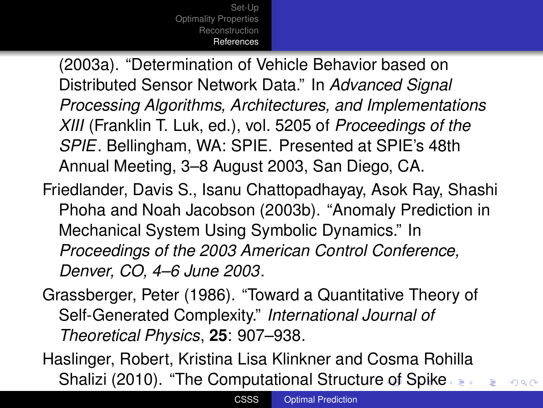(2003a). "Determination of Vehicle Behavior based on Distributed Sensor Network Data." In *Advanced Signal Processing Algorithms, Architectures, and Implementations XIII* (Franklin T. Luk, ed.), vol. 5205 of *Proceedings of the SPIE*. Bellingham, WA: SPIE. Presented at SPIE's 48th Annual Meeting, 3–8 August 2003, San Diego, CA.

- Friedlander, Davis S., Isanu Chattopadhayay, Asok Ray, Shashi Phoha and Noah Jacobson (2003b). "Anomaly Prediction in Mechanical System Using Symbolic Dynamics." In *Proceedings of the 2003 American Control Conference, Denver, CO, 4–6 June 2003*.
- Grassberger, Peter (1986). "Toward a Quantitative Theory of Self-Generated Complexity." *International Journal of Theoretical Physics*, **25**: 907–938.
- <span id="page-61-0"></span>Haslinger, Robert, Kristina Lisa Klinkner and Cosma Rohilla Shalizi (2010). "The Computational Stru[ctu](#page-60-0)[re](#page-62-0)[of](#page-59-0) [S](#page-60-0)[p](#page-46-0)[i](#page-47-0)[ke](#page-69-0)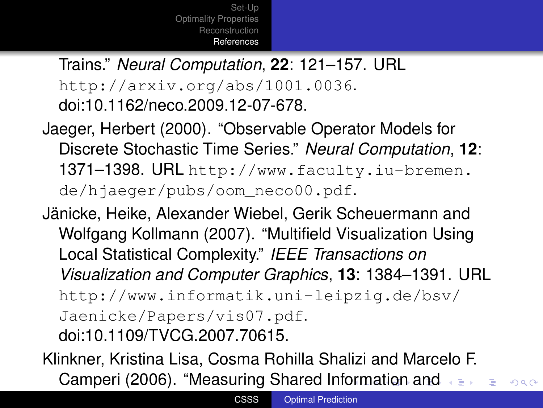Trains." *Neural Computation*, **22**: 121–157. URL <http://arxiv.org/abs/1001.0036>. [doi:10.1162/neco.2009.12-07-678.](http://dx.doi.org/10.1162/neco.2009.12-07-678)

- Jaeger, Herbert (2000). "Observable Operator Models for Discrete Stochastic Time Series." *Neural Computation*, **12**: 1371–1398. URL [http://www.faculty.iu-bremen.](http://www.faculty.iu-bremen.de/hjaeger/pubs/oom_neco00.pdf) [de/hjaeger/pubs/oom\\_neco00.pdf](http://www.faculty.iu-bremen.de/hjaeger/pubs/oom_neco00.pdf).
- Jänicke, Heike, Alexander Wiebel, Gerik Scheuermann and Wolfgang Kollmann (2007). "Multifield Visualization Using Local Statistical Complexity." *IEEE Transactions on Visualization and Computer Graphics*, **13**: 1384–1391. URL [http://www.informatik.uni-leipzig.de/bsv/](http://www.informatik.uni-leipzig.de/bsv/Jaenicke/Papers/vis07.pdf) [Jaenicke/Papers/vis07.pdf](http://www.informatik.uni-leipzig.de/bsv/Jaenicke/Papers/vis07.pdf). [doi:10.1109/TVCG.2007.70615.](http://dx.doi.org/10.1109/TVCG.2007.70615)

<span id="page-62-0"></span>Klinkner, Kristina Lisa, Cosma Rohilla Shalizi and Marcelo F. Camperi (2006). "Measuring Shared Inf[orm](#page-61-0)[a](#page-63-0)[ti](#page-58-0)[on](#page-59-0)[a](#page-46-0)[n](#page-47-0)[d](#page-69-0)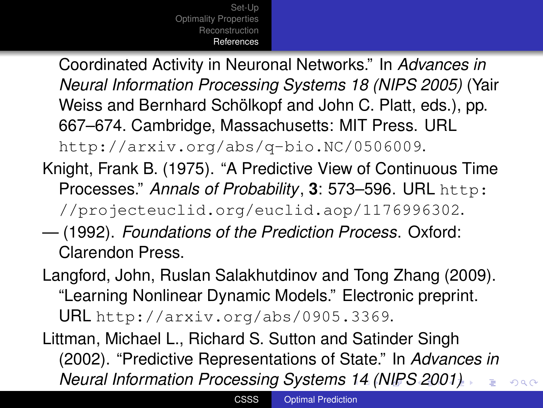Coordinated Activity in Neuronal Networks." In *Advances in Neural Information Processing Systems 18 (NIPS 2005)* (Yair Weiss and Bernhard Schölkopf and John C. Platt, eds.), pp. 667–674. Cambridge, Massachusetts: MIT Press. URL <http://arxiv.org/abs/q-bio.NC/0506009>.

- Knight, Frank B. (1975). "A Predictive View of Continuous Time Processes." *Annals of Probability*, **3**: 573–596. URL [http:](http://projecteuclid.org/euclid.aop/1176996302) [//projecteuclid.org/euclid.aop/1176996302](http://projecteuclid.org/euclid.aop/1176996302).
- (1992). *Foundations of the Prediction Process*. Oxford: Clarendon Press.

Langford, John, Ruslan Salakhutdinov and Tong Zhang (2009). "Learning Nonlinear Dynamic Models." Electronic preprint. URL <http://arxiv.org/abs/0905.3369>.

<span id="page-63-0"></span>Littman, Michael L., Richard S. Sutton and Satinder Singh (2002). "Predictive Representations of State." In *Advances in Neural Information Processing Systems [14](#page-62-0) [\(](#page-64-0)[N](#page-58-0)[IP](#page-59-0)[S](#page-60-0)[2](#page-47-0)[00](#page-69-0)[1](#page-46-0)[\)](#page-47-0)*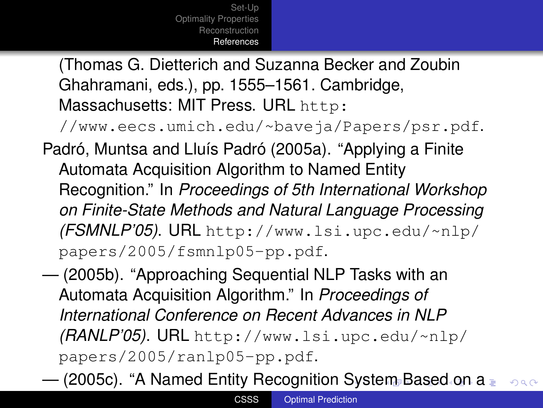(Thomas G. Dietterich and Suzanna Becker and Zoubin Ghahramani, eds.), pp. 1555–1561. Cambridge, Massachusetts: MIT Press. URL [http:](http://www.eecs.umich.edu/~baveja/Papers/psr.pdf)

[//www.eecs.umich.edu/~baveja/Papers/psr.pdf](http://www.eecs.umich.edu/~baveja/Papers/psr.pdf).

- Padró, Muntsa and Lluís Padró (2005a). "Applying a Finite Automata Acquisition Algorithm to Named Entity Recognition." In *Proceedings of 5th International Workshop on Finite-State Methods and Natural Language Processing (FSMNLP'05)*. URL [http://www.lsi.upc.edu/~nlp/](http://www.lsi.upc.edu/~nlp/papers/2005/fsmnlp05-pp.pdf) [papers/2005/fsmnlp05-pp.pdf](http://www.lsi.upc.edu/~nlp/papers/2005/fsmnlp05-pp.pdf).
- (2005b). "Approaching Sequential NLP Tasks with an Automata Acquisition Algorithm." In *Proceedings of International Conference on Recent Advances in NLP (RANLP'05)*. URL [http://www.lsi.upc.edu/~nlp/](http://www.lsi.upc.edu/~nlp/papers/2005/ranlp05-pp.pdf) [papers/2005/ranlp05-pp.pdf](http://www.lsi.upc.edu/~nlp/papers/2005/ranlp05-pp.pdf).

<span id="page-64-0"></span> $-$  (2005c). "A Named Entity Recognition [Sy](#page-63-0)s[te](#page-65-0)[m](#page-59-0) [B](#page-60-0)[a](#page-46-0)[s](#page-47-0)[ed](#page-69-0)[o](#page-47-0)[n](#page-69-0) [a](#page-0-0)  $2990$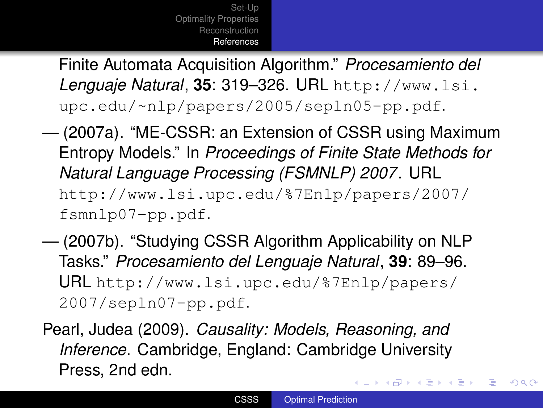Finite Automata Acquisition Algorithm." *Procesamiento del Lenguaje Natural*, **35**: 319–326. URL [http://www.lsi.](http://www.lsi.upc.edu/~nlp/papers/2005/sepln05-pp.pdf) [upc.edu/~nlp/papers/2005/sepln05-pp.pdf](http://www.lsi.upc.edu/~nlp/papers/2005/sepln05-pp.pdf).

- (2007a). "ME-CSSR: an Extension of CSSR using Maximum Entropy Models." In *Proceedings of Finite State Methods for Natural Language Processing (FSMNLP) 2007*. URL [http://www.lsi.upc.edu/%7Enlp/papers/2007/](http://www.lsi.upc.edu/%7Enlp/papers/2007/fsmnlp07-pp.pdf) [fsmnlp07-pp.pdf](http://www.lsi.upc.edu/%7Enlp/papers/2007/fsmnlp07-pp.pdf).
- (2007b). "Studying CSSR Algorithm Applicability on NLP Tasks." *Procesamiento del Lenguaje Natural*, **39**: 89–96. URL [http://www.lsi.upc.edu/%7Enlp/papers/](http://www.lsi.upc.edu/%7Enlp/papers/2007/sepln07-pp.pdf) [2007/sepln07-pp.pdf](http://www.lsi.upc.edu/%7Enlp/papers/2007/sepln07-pp.pdf).
- Pearl, Judea (2009). *Causality: Models, Reasoning, and Inference*. Cambridge, England: Cambridge University Press, 2nd edn. イロト イ押 トイヨ トイヨ トー

 $2990$ 

<span id="page-65-0"></span>B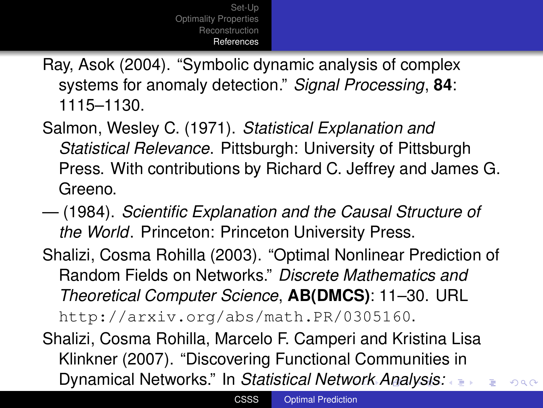Ray, Asok (2004). "Symbolic dynamic analysis of complex systems for anomaly detection." *Signal Processing*, **84**: 1115–1130.

- Salmon, Wesley C. (1971). *Statistical Explanation and Statistical Relevance*. Pittsburgh: University of Pittsburgh Press. With contributions by Richard C. Jeffrey and James G. Greeno.
- (1984). *Scientific Explanation and the Causal Structure of the World*. Princeton: Princeton University Press.
- Shalizi, Cosma Rohilla (2003). "Optimal Nonlinear Prediction of Random Fields on Networks." *Discrete Mathematics and Theoretical Computer Science*, **AB(DMCS)**: 11–30. URL <http://arxiv.org/abs/math.PR/0305160>.

<span id="page-66-0"></span>Shalizi, Cosma Rohilla, Marcelo F. Camperi and Kristina Lisa Klinkner (2007). "Discovering Functional Communities in Dynamical Networks." In *Statistical Net[wor](#page-65-0)[k](#page-67-0) [A](#page-58-0)[na](#page-59-0)[l](#page-60-0)[y](#page-46-0)[s](#page-47-0)[is:](#page-69-0)*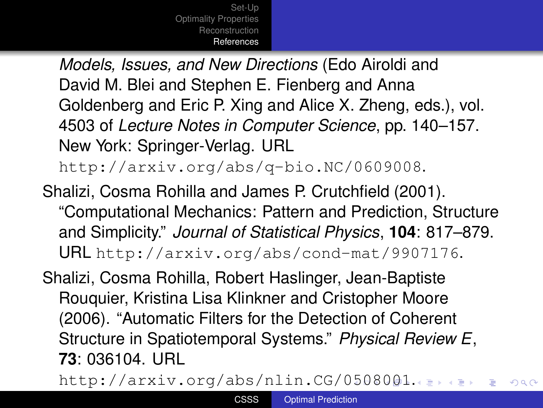*Models, Issues, and New Directions* (Edo Airoldi and David M. Blei and Stephen E. Fienberg and Anna Goldenberg and Eric P. Xing and Alice X. Zheng, eds.), vol. 4503 of *Lecture Notes in Computer Science*, pp. 140–157. New York: Springer-Verlag. URL

<http://arxiv.org/abs/q-bio.NC/0609008>.

Shalizi, Cosma Rohilla and James P. Crutchfield (2001). "Computational Mechanics: Pattern and Prediction, Structure and Simplicity." *Journal of Statistical Physics*, **104**: 817–879. URL <http://arxiv.org/abs/cond-mat/9907176>.

Shalizi, Cosma Rohilla, Robert Haslinger, Jean-Baptiste Rouquier, Kristina Lisa Klinkner and Cristopher Moore (2006). "Automatic Filters for the Detection of Coherent Structure in Spatiotemporal Systems." *Physical Review E*, **73**: 036104. URL

<span id="page-67-0"></span><http://arxiv.org/abs/nlin.CG/0508001>[.](#page-46-0)com  $2Q$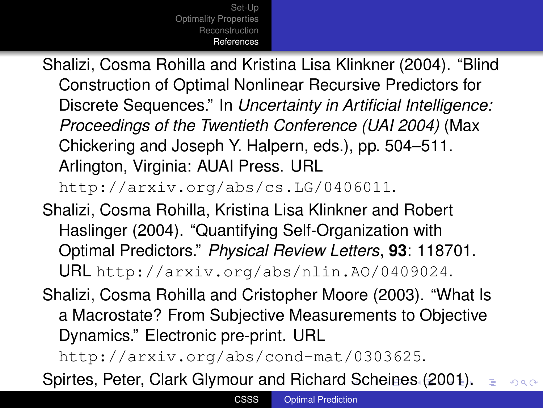Shalizi, Cosma Rohilla and Kristina Lisa Klinkner (2004). "Blind Construction of Optimal Nonlinear Recursive Predictors for Discrete Sequences." In *Uncertainty in Artificial Intelligence: Proceedings of the Twentieth Conference (UAI 2004)* (Max Chickering and Joseph Y. Halpern, eds.), pp. 504–511. Arlington, Virginia: AUAI Press. URL

<http://arxiv.org/abs/cs.LG/0406011>.

- Shalizi, Cosma Rohilla, Kristina Lisa Klinkner and Robert Haslinger (2004). "Quantifying Self-Organization with Optimal Predictors." *Physical Review Letters*, **93**: 118701. URL <http://arxiv.org/abs/nlin.AO/0409024>.
- Shalizi, Cosma Rohilla and Cristopher Moore (2003). "What Is a Macrostate? From Subjective Measurements to Objective Dynamics." Electronic pre-print. URL

<span id="page-68-0"></span><http://arxiv.org/abs/cond-mat/0303625>.

Spirtes, Peter, Clark Glymour and Richard [Sc](#page-67-0)[h](#page-69-0)[ei](#page-58-0)[ne](#page-59-0)[s](#page-46-0) [\(](#page-47-0)[20](#page-69-0)[0](#page-46-0)[1](#page-47-0)[\).](#page-69-0)  $2Q$